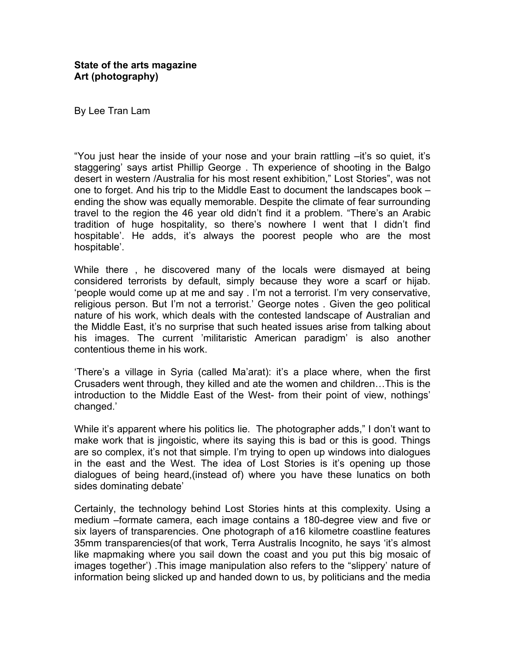By Lee Tran Lam

"You just hear the inside of your nose and your brain rattling –it's so quiet, it's staggering' says artist Phillip George . Th experience of shooting in the Balgo desert in western /Australia for his most resent exhibition," Lost Stories", was not one to forget. And his trip to the Middle East to document the landscapes book – ending the show was equally memorable. Despite the climate of fear surrounding travel to the region the 46 year old didn't find it a problem. "There's an Arabic tradition of huge hospitality, so there's nowhere I went that I didn't find hospitable'. He adds, it's always the poorest people who are the most hospitable'.

While there , he discovered many of the locals were dismayed at being considered terrorists by default, simply because they wore a scarf or hijab. 'people would come up at me and say . I'm not a terrorist. I'm very conservative, religious person. But I'm not a terrorist.' George notes . Given the geo political nature of his work, which deals with the contested landscape of Australian and the Middle East, it's no surprise that such heated issues arise from talking about his images. The current 'militaristic American paradigm' is also another contentious theme in his work.

'There's a village in Syria (called Ma'arat): it's a place where, when the first Crusaders went through, they killed and ate the women and children…This is the introduction to the Middle East of the West- from their point of view, nothings' changed.'

While it's apparent where his politics lie. The photographer adds," I don't want to make work that is jingoistic, where its saying this is bad or this is good. Things are so complex, it's not that simple. I'm trying to open up windows into dialogues in the east and the West. The idea of Lost Stories is it's opening up those dialogues of being heard,(instead of) where you have these lunatics on both sides dominating debate'

Certainly, the technology behind Lost Stories hints at this complexity. Using a medium –formate camera, each image contains a 180-degree view and five or six layers of transparencies. One photograph of a16 kilometre coastline features 35mm transparencies(of that work, Terra Australis Incognito, he says 'it's almost like mapmaking where you sail down the coast and you put this big mosaic of images together') .This image manipulation also refers to the "slippery' nature of information being slicked up and handed down to us, by politicians and the media